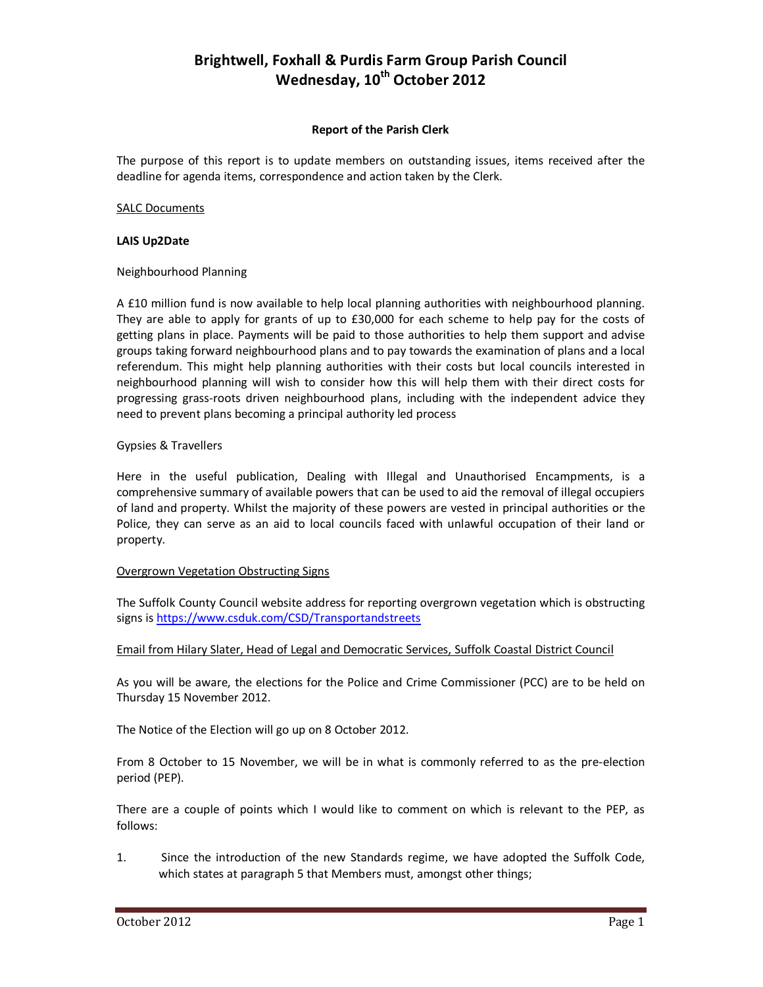# **Brightwell, Foxhall & Purdis Farm Group Parish Council Wednesday, 10th October 2012**

#### **Report of the Parish Clerk**

The purpose of this report is to update members on outstanding issues, items received after the deadline for agenda items, correspondence and action taken by the Clerk.

## SALC Documents

## **LAIS Up2Date**

## Neighbourhood Planning

A £10 million fund is now available to help local planning authorities with neighbourhood planning. They are able to apply for grants of up to £30,000 for each scheme to help pay for the costs of getting plans in place. Payments will be paid to those authorities to help them support and advise groups taking forward neighbourhood plans and to pay towards the examination of plans and a local referendum. This might help planning authorities with their costs but local councils interested in neighbourhood planning will wish to consider how this will help them with their direct costs for progressing grass-roots driven neighbourhood plans, including with the independent advice they need to prevent plans becoming a principal authority led process

# Gypsies & Travellers

Here in the useful publication, Dealing with Illegal and Unauthorised Encampments, is a comprehensive summary of available powers that can be used to aid the removal of illegal occupiers of land and property. Whilst the majority of these powers are vested in principal authorities or the Police, they can serve as an aid to local councils faced with unlawful occupation of their land or property.

#### Overgrown Vegetation Obstructing Signs

The Suffolk County Council website address for reporting overgrown vegetation which is obstructing signs is https://www.csduk.com/CSD/Transportandstreets

#### Email from Hilary Slater, Head of Legal and Democratic Services, Suffolk Coastal District Council

As you will be aware, the elections for the Police and Crime Commissioner (PCC) are to be held on Thursday 15 November 2012.

The Notice of the Election will go up on 8 October 2012.

From 8 October to 15 November, we will be in what is commonly referred to as the pre-election period (PEP).

There are a couple of points which I would like to comment on which is relevant to the PEP, as follows:

1. Since the introduction of the new Standards regime, we have adopted the Suffolk Code, which states at paragraph 5 that Members must, amongst other things;